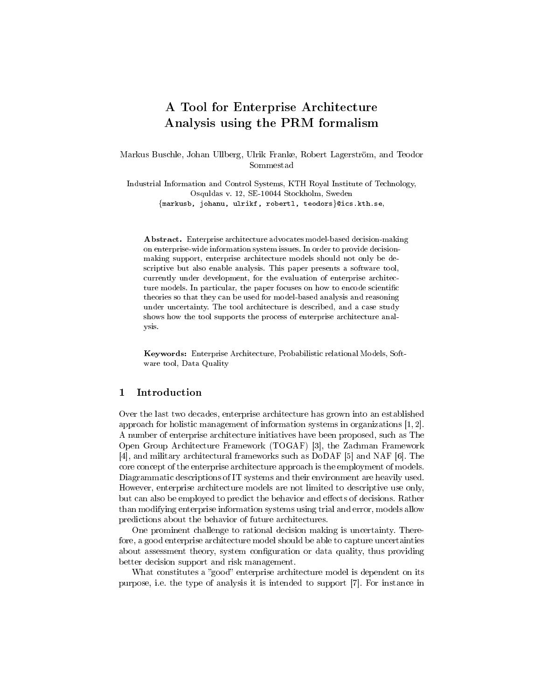# A Tool for Enterprise Architecture Analysis using the PRM formalism

Markus Buschle, Johan Ullberg, Ulrik Franke, Robert Lagerström, and Teodor Sommestad

Industrial Information and Control Systems, KTH Royal Institute of Technology, Osquldas v. 12, SE-10044 Stockholm, Sweden {markusb, johanu, ulrikf, robertl, teodors}@ics.kth.se,

Abstract. Enterprise architecture advocates model-based decision-making on enterprise-wide information system issues. In order to provide decisionmaking support, enterprise architecture models should not only be descriptive but also enable analysis. This paper presents a software tool, currently under development, for the evaluation of enterprise architecture models. In particular, the paper focuses on how to encode scientific theories so that they can be used for model-based analysis and reasoning under uncertainty. The tool architecture is described, and a case study shows how the tool supports the process of enterprise architecture analysis.

Keywords: Enterprise Architecture, Probabilistic relational Models, Software tool, Data Quality

### 1 Introduction

Over the last two decades, enterprise architecture has grown into an established approach for holistic management of information systems in organizations [1, 2]. A number of enterprise architecture initiatives have been proposed, such as The Open Group Architecture Framework (TOGAF) [3], the Zachman Framework [4], and military architectural frameworks such as DoDAF [5] and NAF [6]. The core concept of the enterprise architecture approach is the employment of models. Diagrammatic descriptions of IT systems and their environment are heavily used. However, enterprise architecture models are not limited to descriptive use only, but can also be employed to predict the behavior and effects of decisions. Rather than modifying enterprise information systems using trial and error, models allow predictions about the behavior of future architectures.

One prominent challenge to rational decision making is uncertainty. Therefore, a good enterprise architecture model should be able to capture uncertainties about assessment theory, system configuration or data quality, thus providing better decision support and risk management.

What constitutes a "good" enterprise architecture model is dependent on its purpose, i.e. the type of analysis it is intended to support [7]. For instance in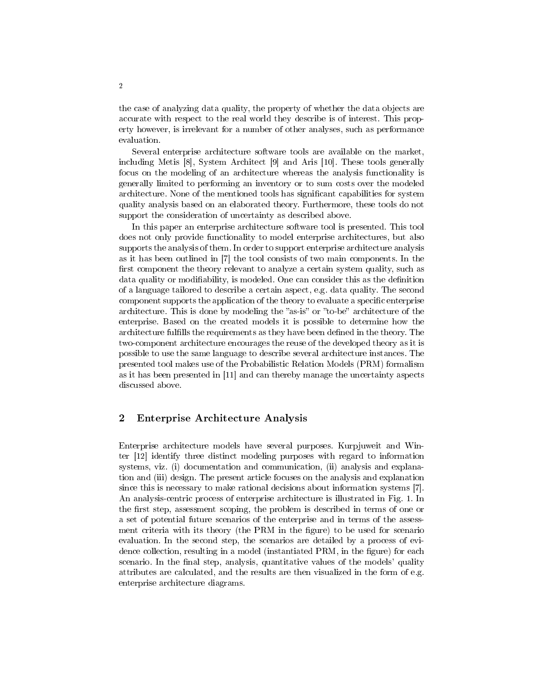the case of analyzing data quality, the property of whether the data objects are accurate with respect to the real world they describe is of interest. This property however, is irrelevant for a number of other analyses, such as performance evaluation.

Several enterprise architecture software tools are available on the market, including Metis [8], System Architect [9] and Aris [10]. These tools generally focus on the modeling of an architecture whereas the analysis functionality is generally limited to performing an inventory or to sum costs over the modeled architecture. None of the mentioned tools has signicant capabilities for system quality analysis based on an elaborated theory. Furthermore, these tools do not support the consideration of uncertainty as described above.

In this paper an enterprise architecture software tool is presented. This tool does not only provide functionality to model enterprise architectures, but also supports the analysis of them. In order to support enterprise architecture analysis as it has been outlined in [7] the tool consists of two main components. In the first component the theory relevant to analyze a certain system quality, such as data quality or modifiability, is modeled. One can consider this as the definition of a language tailored to describe a certain aspect, e.g. data quality. The second component supports the application of the theory to evaluate a specific enterprise architecture. This is done by modeling the "as-is" or "to-be" architecture of the enterprise. Based on the created models it is possible to determine how the architecture fulfills the requirements as they have been defined in the theory. The two-component architecture encourages the reuse of the developed theory as it is possible to use the same language to describe several architecture instances. The presented tool makes use of the Probabilistic Relation Models (PRM) formalism as it has been presented in [11] and can thereby manage the uncertainty aspects discussed above.

#### 2 Enterprise Architecture Analysis

Enterprise architecture models have several purposes. Kurpjuweit and Winter [12] identify three distinct modeling purposes with regard to information systems, viz. (i) documentation and communication, (ii) analysis and explanation and (iii) design. The present article focuses on the analysis and explanation since this is necessary to make rational decisions about information systems [7]. An analysis-centric process of enterprise architecture is illustrated in Fig. 1. In the first step, assessment scoping, the problem is described in terms of one or a set of potential future scenarios of the enterprise and in terms of the assessment criteria with its theory (the PRM in the figure) to be used for scenario evaluation. In the second step, the scenarios are detailed by a process of evidence collection, resulting in a model (instantiated PRM, in the figure) for each scenario. In the final step, analysis, quantitative values of the models' quality attributes are calculated, and the results are then visualized in the form of e.g. enterprise architecture diagrams.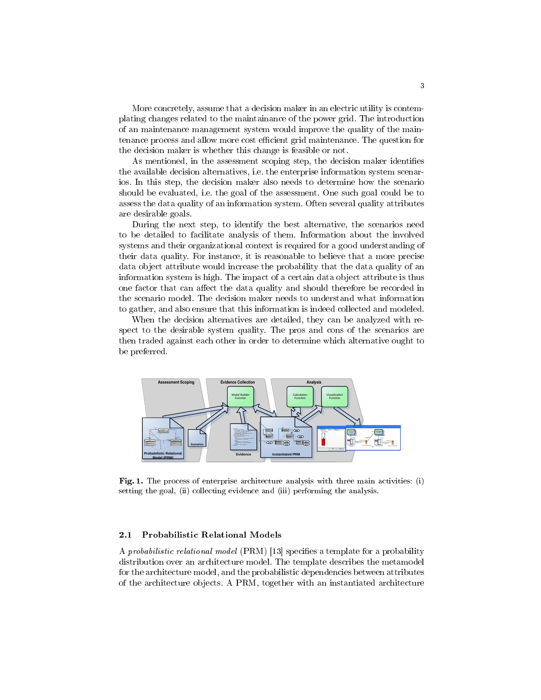More concretely, assume that a decision maker in an electric utility is contemplating changes related to the maintainance of the power grid. The introduction of an maintenance management system would improve the quality of the maintenance process and allow more cost efficient grid maintenance. The question for the decision maker is whether this change is feasible or not.

As mentioned, in the assessment scoping step, the decision maker identifies the available decision alternatives, i.e. the enterprise information system scenarios. In this step, the decision maker also needs to determine how the scenario should be evaluated, i.e. the goal of the assessment. One such goal could be to assess the data quality of an information system. Often several quality attributes are desirable goals.

During the next step, to identify the best alternative, the scenarios need to be detailed to facilitate analysis of them. Information about the involved systems and their organizational context is required for a good understanding of their data quality. For instance, it is reasonable to believe that a more precise data object attribute would increase the probability that the data quality of an information system is high. The impact of a certain data object attribute is thus one factor that can affect the data quality and should therefore be recorded in the scenario model. The decision maker needs to understand what information to gather, and also ensure that this information is indeed collected and modeled.

When the decision alternatives are detailed, they can be analyzed with respect to the desirable system quality. The pros and cons of the scenarios are then traded against each other in order to determine which alternative ought to be preferred.



Fig. 1. The process of enterprise architecture analysis with three main activities: (i) setting the goal, (ii) collecting evidence and (iii) performing the analysis.

#### 2.1 Probabilistic Relational Models

A probabilistic relational model (PRM) [13] specifies a template for a probability distribution over an architecture model. The template describes the metamodel for the architecture model, and the probabilistic dependencies between attributes of the architecture objects. A PRM, together with an instantiated architecture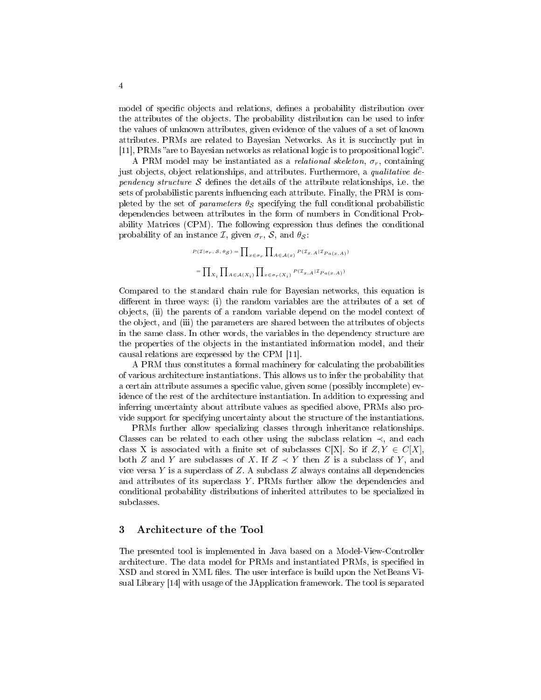model of specific objects and relations, defines a probability distribution over the attributes of the objects. The probability distribution can be used to infer the values of unknown attributes, given evidence of the values of a set of known attributes. PRMs are related to Bayesian Networks. As it is succinctly put in [11], PRMs "are to Bayesian networks as relational logic is to propositional logic".

A PRM model may be instantiated as a *relational skeleton*,  $\sigma_r$ , containing just objects, object relationships, and attributes. Furthermore, a *qualitative de*pendency structure S defines the details of the attribute relationships, i.e. the sets of probabilistic parents influencing each attribute. Finally, the PRM is completed by the set of parameters  $\theta_{\mathcal{S}}$  specifying the full conditional probabilistic dependencies between attributes in the form of numbers in Conditional Probability Matrices (CPM). The following expression thus defines the conditional probability of an instance  $\mathcal{I}$ , given  $\sigma_r$ ,  $\mathcal{S}$ , and  $\theta_{\mathcal{S}}$ :

$$
\begin{split} &P(\mathcal{I}|\sigma_r, \mathcal{S}, \theta_{\mathcal{S}}) = \prod\nolimits_{x \in \sigma_r} \prod\nolimits_{A \in \mathcal{A}(x)} P(\mathcal{I}_{x.A} | \mathcal{I}_{Pa(x.A)}) \\ & = \prod\nolimits_{X_i} \prod\nolimits_{A \in \mathcal{A}(X_i)} \prod\nolimits_{x \in \sigma_r(X_i)} P(\mathcal{I}_{x.A} | \mathcal{I}_{Pa(x.A)}) \end{split}
$$

Compared to the standard chain rule for Bayesian networks, this equation is different in three ways: (i) the random variables are the attributes of a set of objects, (ii) the parents of a random variable depend on the model context of the object, and (iii) the parameters are shared between the attributes of objects in the same class. In other words, the variables in the dependency structure are the properties of the objects in the instantiated information model, and their causal relations are expressed by the CPM [11].

A PRM thus constitutes a formal machinery for calculating the probabilities of various architecture instantiations. This allows us to infer the probability that a certain attribute assumes a specific value, given some (possibly incomplete) evidence of the rest of the architecture instantiation. In addition to expressing and inferring uncertainty about attribute values as specified above, PRMs also provide support for specifying uncertainty about the structure of the instantiations.

PRMs further allow specializing classes through inheritance relationships. Classes can be related to each other using the subclass relation  $\prec$ , and each class X is associated with a finite set of subclasses C[X]. So if  $Z, Y \in C[X]$ . both Z and Y are subclasses of X. If  $Z \prec Y$  then Z is a subclass of Y, and vice versa  $Y$  is a superclass of  $Z$ . A subclass  $Z$  always contains all dependencies and attributes of its superclass  $Y$ . PRMs further allow the dependencies and conditional probability distributions of inherited attributes to be specialized in subclasses.

#### 3 Architecture of the Tool

The presented tool is implemented in Java based on a Model-View-Controller architecture. The data model for PRMs and instantiated PRMs, is specified in XSD and stored in XML files. The user interface is build upon the NetBeans Visual Library [14] with usage of the JApplication framework. The tool is separated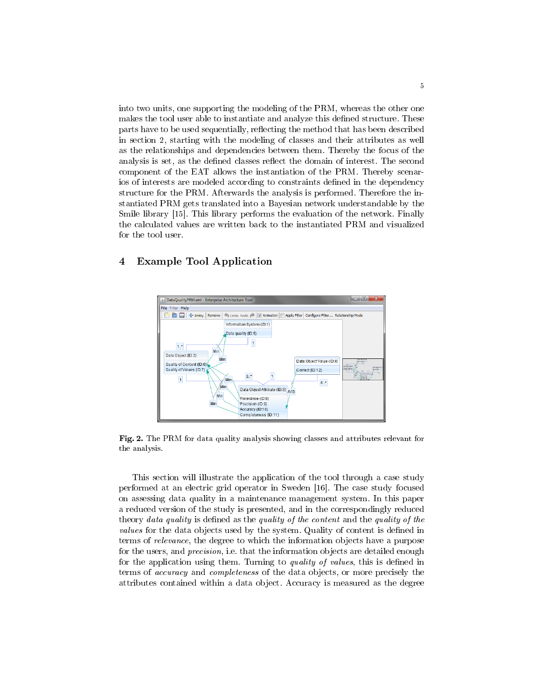into two units, one supporting the modeling of the PRM, whereas the other one makes the tool user able to instantiate and analyze this defined structure. These parts have to be used sequentially, reflecting the method that has been described in section 2, starting with the modeling of classes and their attributes as well as the relationships and dependencies between them. Thereby the focus of the analysis is set, as the defined classes reflect the domain of interest. The second component of the EAT allows the instantiation of the PRM. Thereby scenarios of interests are modeled according to constraints defined in the dependency structure for the PRM. Afterwards the analysis is performed. Therefore the instantiated PRM gets translated into a Bayesian network understandable by the Smile library [15]. This library performs the evaluation of the network. Finally the calculated values are written back to the instantiated PRM and visualized for the tool user.

## 4 Example Tool Application



Fig. 2. The PRM for data quality analysis showing classes and attributes relevant for the analysis.

This section will illustrate the application of the tool through a case study performed at an electric grid operator in Sweden [16]. The case study focused on assessing data quality in a maintenance management system. In this paper a reduced version of the study is presented, and in the correspondingly reduced theory data quality is defined as the quality of the content and the quality of the values for the data objects used by the system. Quality of content is defined in terms of relevance, the degree to which the information objects have a purpose for the users, and *precision*, i.e. that the information objects are detailed enough for the application using them. Turning to *quality of values*, this is defined in terms of accuracy and completeness of the data objects, or more precisely the attributes contained within a data object. Accuracy is measured as the degree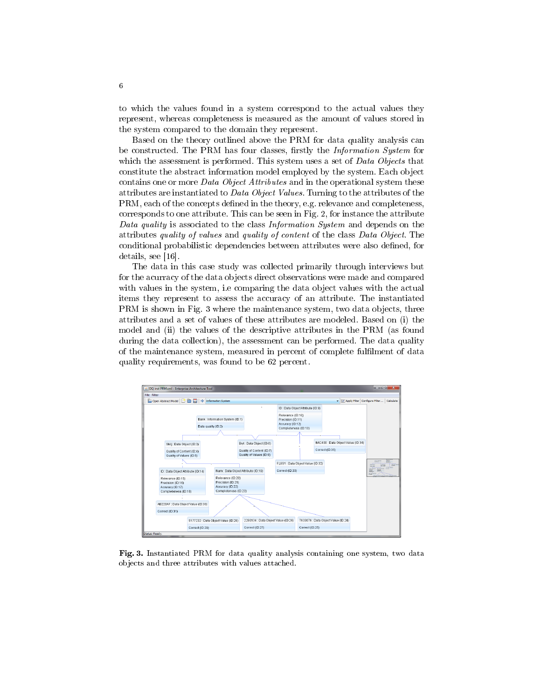to which the values found in a system correspond to the actual values they represent, whereas completeness is measured as the amount of values stored in the system compared to the domain they represent.

Based on the theory outlined above the PRM for data quality analysis can be constructed. The PRM has four classes, firstly the Information System for which the assessment is performed. This system uses a set of Data Objects that constitute the abstract information model employed by the system. Each object contains one or more Data Object Attributes and in the operational system these attributes are instantiated to Data Object Values. Turning to the attributes of the PRM, each of the concepts defined in the theory, e.g. relevance and completeness, corresponds to one attribute. This can be seen in Fig. 2, for instance the attribute Data quality is associated to the class Information System and depends on the attributes quality of values and quality of content of the class Data Object. The conditional probabilistic dependencies between attributes were also defined, for details, see [16].

The data in this case study was collected primarily through interviews but for the acurracy of the data objects direct observations were made and compared with values in the system, i.e comparing the data object values with the actual items they represent to assess the accuracy of an attribute. The instantiated PRM is shown in Fig. 3 where the maintenance system, two data objects, three attributes and a set of values of these attributes are modeled. Based on (i) the model and (ii) the values of the descriptive attributes in the PRM (as found during the data collection), the assessment can be performed. The data quality of the maintenance system, measured in percent of complete fullment of data quality requirements, was found to be 62 percent.



Fig. 3. Instantiated PRM for data quality analysis containing one system, two data objects and three attributes with values attached.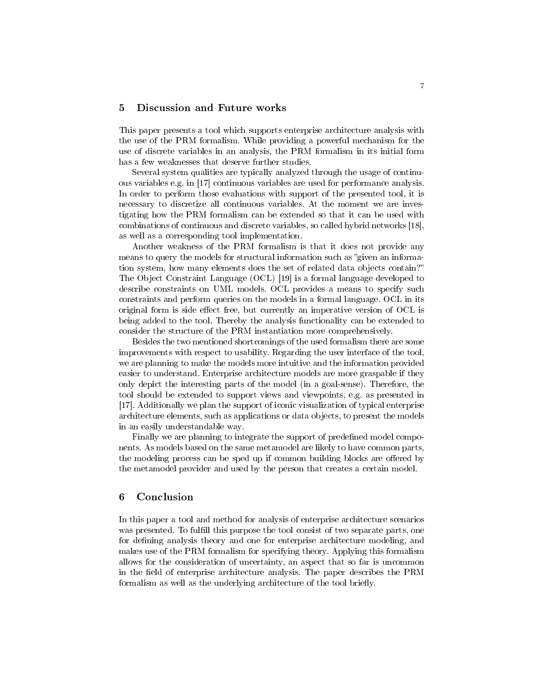#### 5 Discussion and Future works

This paper presents a tool which supports enterprise architecture analysis with the use of the PRM formalism. While providing a powerful mechanism for the use of discrete variables in an analysis, the PRM formalism in its initial form has a few weaknesses that deserve further studies.

Several system qualities are typically analyzed through the usage of continuous variables e.g. in [17] continuous variables are used for performance analysis. In order to perform those evaluations with support of the presented tool, it is necessary to discretize all continuous variables. At the moment we are investigating how the PRM formalism can be extended so that it can be used with combinations of continuous and discrete variables, so called hybrid networks [18], as well as a corresponding tool implementation.

Another weakness of the PRM formalism is that it does not provide any means to query the models for structural information such as "given an information system, how many elements does the set of related data objects contain? The Object Constraint Language (OCL) [19] is a formal language developed to describe constraints on UML models. OCL provides a means to specify such constraints and perform queries on the models in a formal language. OCL in its original form is side effect free, but currently an imperative version of OCL is being added to the tool. Thereby the analysis functionality can be extended to consider the structure of the PRM instantiation more comprehensively.

Besides the two mentioned shortcomings of the used formalism there are some improvements with respect to usability. Regarding the user interface of the tool, we are planning to make the models more intuitive and the information provided easier to understand. Enterprise architecture models are more graspable if they only depict the interesting parts of the model (in a goal-sense). Therefore, the tool should be extended to support views and viewpoints, e.g. as presented in [17]. Additionally we plan the support of iconic visualization of typical enterprise architecture elements, such as applications or data objects, to present the models in an easily understandable way.

Finally we are planning to integrate the support of predefined model components. As models based on the same metamodel are likely to have common parts, the modeling process can be sped up if common building blocks are offered by the metamodel provider and used by the person that creates a certain model.

#### 6 Conclusion

In this paper a tool and method for analysis of enterprise architecture scenarios was presented. To fulfill this purpose the tool consist of two separate parts, one for defining analysis theory and one for enterprise architecture modeling, and makes use of the PRM formalism for specifying theory. Applying this formalism allows for the consideration of uncertainty, an aspect that so far is uncommon in the field of enterprise architecture analysis. The paper describes the PRM formalism as well as the underlying architecture of the tool briefly.